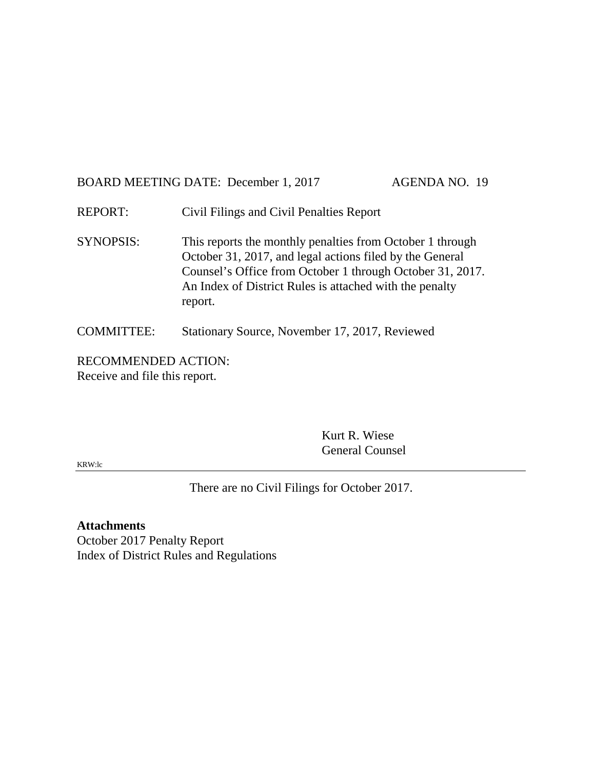# BOARD MEETING DATE: December 1, 2017 AGENDA NO. 19

REPORT: Civil Filings and Civil Penalties Report

SYNOPSIS: This reports the monthly penalties from October 1 through October 31, 2017, and legal actions filed by the General Counsel's Office from October 1 through October 31, 2017. An Index of District Rules is attached with the penalty report.

## COMMITTEE: Stationary Source, November 17, 2017, Reviewed

RECOMMENDED ACTION: Receive and file this report.

> Kurt R. Wiese General Counsel

KRW:lc

There are no Civil Filings for October 2017.

## **Attachments**

October 2017 Penalty Report Index of District Rules and Regulations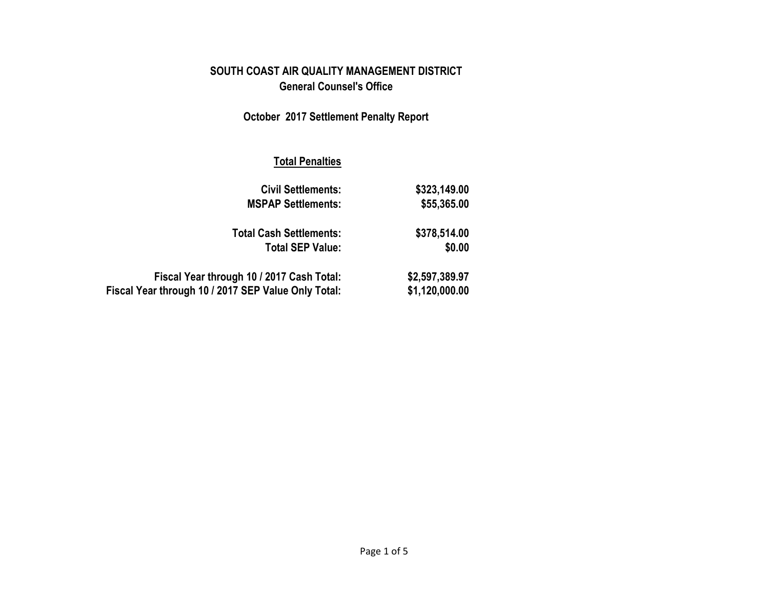# **SOUTH COAST AIR QUALITY MANAGEMENT DISTRICT General Counsel's Office**

# **October 2017 Settlement Penalty Report**

## **Total Penalties**

| <b>Civil Settlements:</b>                           | \$323,149.00   |
|-----------------------------------------------------|----------------|
| <b>MSPAP Settlements:</b>                           | \$55,365.00    |
| <b>Total Cash Settlements:</b>                      | \$378,514.00   |
| <b>Total SEP Value:</b>                             | \$0.00         |
| Fiscal Year through 10 / 2017 Cash Total:           | \$2,597,389.97 |
| Fiscal Year through 10 / 2017 SEP Value Only Total: | \$1,120,000.00 |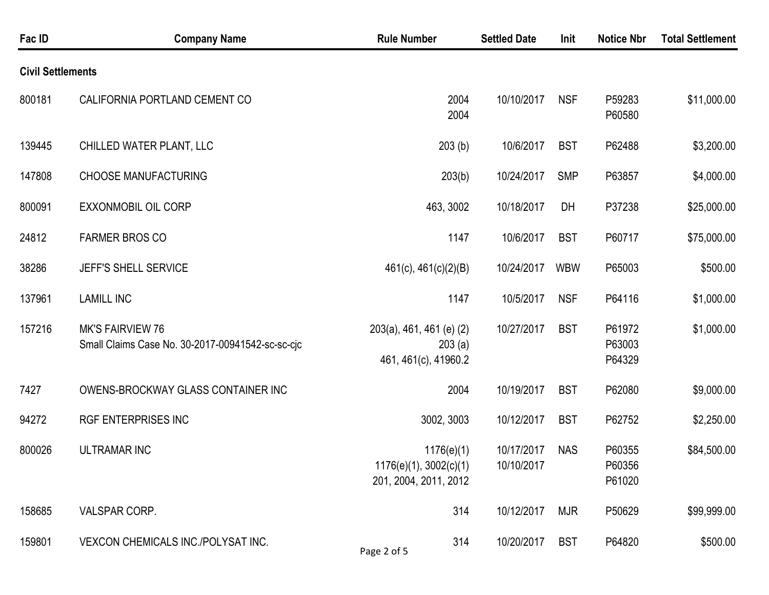| Fac ID                   | <b>Company Name</b>                                                         | <b>Rule Number</b>                                            | <b>Settled Date</b>      | Init       | <b>Notice Nbr</b>          | <b>Total Settlement</b> |
|--------------------------|-----------------------------------------------------------------------------|---------------------------------------------------------------|--------------------------|------------|----------------------------|-------------------------|
| <b>Civil Settlements</b> |                                                                             |                                                               |                          |            |                            |                         |
| 800181                   | CALIFORNIA PORTLAND CEMENT CO                                               | 2004<br>2004                                                  | 10/10/2017               | <b>NSF</b> | P59283<br>P60580           | \$11,000.00             |
| 139445                   | CHILLED WATER PLANT, LLC                                                    | 203(b)                                                        | 10/6/2017                | <b>BST</b> | P62488                     | \$3,200.00              |
| 147808                   | <b>CHOOSE MANUFACTURING</b>                                                 | 203(b)                                                        | 10/24/2017               | <b>SMP</b> | P63857                     | \$4,000.00              |
| 800091                   | <b>EXXONMOBIL OIL CORP</b>                                                  | 463, 3002                                                     | 10/18/2017               | DH         | P37238                     | \$25,000.00             |
| 24812                    | <b>FARMER BROS CO</b>                                                       | 1147                                                          | 10/6/2017                | <b>BST</b> | P60717                     | \$75,000.00             |
| 38286                    | JEFF'S SHELL SERVICE                                                        | $461(c)$ , $461(c)(2)(B)$                                     | 10/24/2017               | <b>WBW</b> | P65003                     | \$500.00                |
| 137961                   | <b>LAMILL INC</b>                                                           | 1147                                                          | 10/5/2017                | <b>NSF</b> | P64116                     | \$1,000.00              |
| 157216                   | <b>MK'S FAIRVIEW 76</b><br>Small Claims Case No. 30-2017-00941542-sc-sc-cjc | 203(a), 461, 461 (e) (2)<br>203(a)<br>461, 461(c), 41960.2    | 10/27/2017               | <b>BST</b> | P61972<br>P63003<br>P64329 | \$1,000.00              |
| 7427                     | OWENS-BROCKWAY GLASS CONTAINER INC                                          | 2004                                                          | 10/19/2017               | <b>BST</b> | P62080                     | \$9,000.00              |
| 94272                    | <b>RGF ENTERPRISES INC</b>                                                  | 3002, 3003                                                    | 10/12/2017               | <b>BST</b> | P62752                     | \$2,250.00              |
| 800026                   | <b>ULTRAMAR INC</b>                                                         | 1176(e)(1)<br>1176(e)(1), 3002(c)(1)<br>201, 2004, 2011, 2012 | 10/17/2017<br>10/10/2017 | <b>NAS</b> | P60355<br>P60356<br>P61020 | \$84,500.00             |
| 158685                   | VALSPAR CORP.                                                               | 314                                                           | 10/12/2017               | <b>MJR</b> | P50629                     | \$99,999.00             |
| 159801                   | VEXCON CHEMICALS INC./POLYSAT INC.                                          | 314<br>Page 2 of 5                                            | 10/20/2017               | <b>BST</b> | P64820                     | \$500.00                |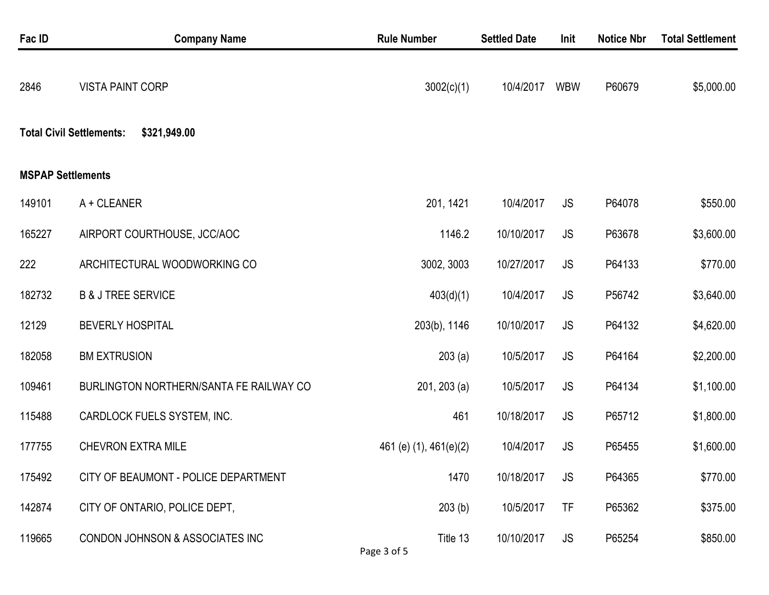| Fac ID                   | <b>Company Name</b>                             | <b>Rule Number</b>      | <b>Settled Date</b> | Init       | <b>Notice Nbr</b> | <b>Total Settlement</b> |
|--------------------------|-------------------------------------------------|-------------------------|---------------------|------------|-------------------|-------------------------|
| 2846                     | <b>VISTA PAINT CORP</b>                         | 3002(c)(1)              | 10/4/2017           | <b>WBW</b> | P60679            | \$5,000.00              |
|                          | <b>Total Civil Settlements:</b><br>\$321,949.00 |                         |                     |            |                   |                         |
| <b>MSPAP Settlements</b> |                                                 |                         |                     |            |                   |                         |
| 149101                   | A + CLEANER                                     | 201, 1421               | 10/4/2017           | <b>JS</b>  | P64078            | \$550.00                |
| 165227                   | AIRPORT COURTHOUSE, JCC/AOC                     | 1146.2                  | 10/10/2017          | <b>JS</b>  | P63678            | \$3,600.00              |
| 222                      | ARCHITECTURAL WOODWORKING CO                    | 3002, 3003              | 10/27/2017          | <b>JS</b>  | P64133            | \$770.00                |
| 182732                   | <b>B &amp; J TREE SERVICE</b>                   | 403(d)(1)               | 10/4/2017           | <b>JS</b>  | P56742            | \$3,640.00              |
| 12129                    | <b>BEVERLY HOSPITAL</b>                         | 203(b), 1146            | 10/10/2017          | <b>JS</b>  | P64132            | \$4,620.00              |
| 182058                   | <b>BM EXTRUSION</b>                             | 203(a)                  | 10/5/2017           | <b>JS</b>  | P64164            | \$2,200.00              |
| 109461                   | BURLINGTON NORTHERN/SANTA FE RAILWAY CO         | $201, 203$ (a)          | 10/5/2017           | <b>JS</b>  | P64134            | \$1,100.00              |
| 115488                   | CARDLOCK FUELS SYSTEM, INC.                     | 461                     | 10/18/2017          | <b>JS</b>  | P65712            | \$1,800.00              |
| 177755                   | <b>CHEVRON EXTRA MILE</b>                       | 461 (e) (1), 461(e)(2)  | 10/4/2017           | <b>JS</b>  | P65455            | \$1,600.00              |
| 175492                   | CITY OF BEAUMONT - POLICE DEPARTMENT            | 1470                    | 10/18/2017          | <b>JS</b>  | P64365            | \$770.00                |
| 142874                   | CITY OF ONTARIO, POLICE DEPT,                   | 203(b)                  | 10/5/2017           | TF         | P65362            | \$375.00                |
| 119665                   | CONDON JOHNSON & ASSOCIATES INC                 | Title 13<br>Page 3 of 5 | 10/10/2017          | JS.        | P65254            | \$850.00                |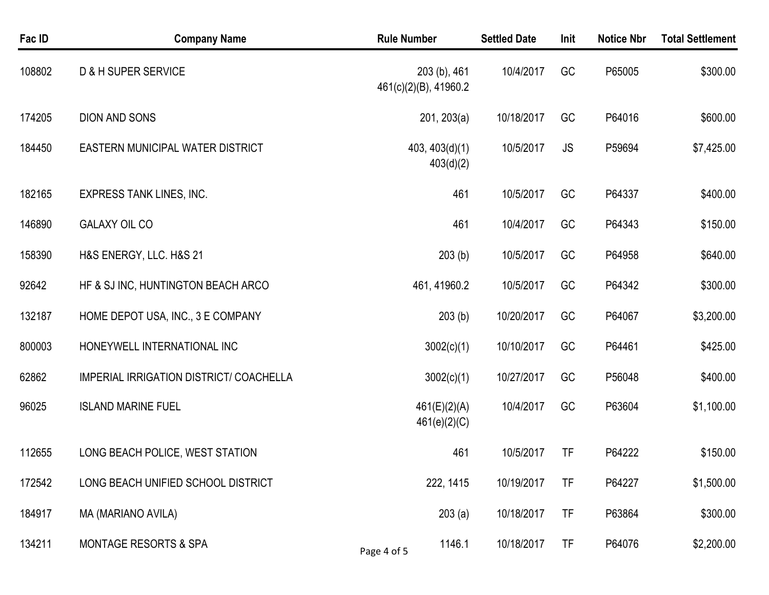| Fac ID | <b>Company Name</b>                     | <b>Rule Number</b>                    | <b>Settled Date</b> | Init      | <b>Notice Nbr</b> | <b>Total Settlement</b> |
|--------|-----------------------------------------|---------------------------------------|---------------------|-----------|-------------------|-------------------------|
| 108802 | D & H SUPER SERVICE                     | 203 (b), 461<br>461(c)(2)(B), 41960.2 | 10/4/2017           | GC        | P65005            | \$300.00                |
| 174205 | <b>DION AND SONS</b>                    | 201, 203(a)                           | 10/18/2017          | GC        | P64016            | \$600.00                |
| 184450 | <b>EASTERN MUNICIPAL WATER DISTRICT</b> | 403, 403(d)(1)<br>403(d)(2)           | 10/5/2017           | <b>JS</b> | P59694            | \$7,425.00              |
| 182165 | <b>EXPRESS TANK LINES, INC.</b>         | 461                                   | 10/5/2017           | GC        | P64337            | \$400.00                |
| 146890 | <b>GALAXY OIL CO</b>                    | 461                                   | 10/4/2017           | GC        | P64343            | \$150.00                |
| 158390 | H&S ENERGY, LLC. H&S 21                 | 203(b)                                | 10/5/2017           | GC        | P64958            | \$640.00                |
| 92642  | HF & SJ INC, HUNTINGTON BEACH ARCO      | 461, 41960.2                          | 10/5/2017           | GC        | P64342            | \$300.00                |
| 132187 | HOME DEPOT USA, INC., 3 E COMPANY       | 203(b)                                | 10/20/2017          | GC        | P64067            | \$3,200.00              |
| 800003 | HONEYWELL INTERNATIONAL INC             | 3002(c)(1)                            | 10/10/2017          | GC        | P64461            | \$425.00                |
| 62862  | IMPERIAL IRRIGATION DISTRICT/ COACHELLA | 3002(c)(1)                            | 10/27/2017          | GC        | P56048            | \$400.00                |
| 96025  | <b>ISLAND MARINE FUEL</b>               | 461(E)(2)(A)<br>461(e)(2)(C)          | 10/4/2017           | GC        | P63604            | \$1,100.00              |
| 112655 | LONG BEACH POLICE, WEST STATION         | 461                                   | 10/5/2017           | <b>TF</b> | P64222            | \$150.00                |
| 172542 | LONG BEACH UNIFIED SCHOOL DISTRICT      | 222, 1415                             | 10/19/2017          | TF        | P64227            | \$1,500.00              |
| 184917 | MA (MARIANO AVILA)                      | 203(a)                                | 10/18/2017          | TF        | P63864            | \$300.00                |
| 134211 | <b>MONTAGE RESORTS &amp; SPA</b>        | 1146.1<br>Page 4 of 5                 | 10/18/2017          | TF        | P64076            | \$2,200.00              |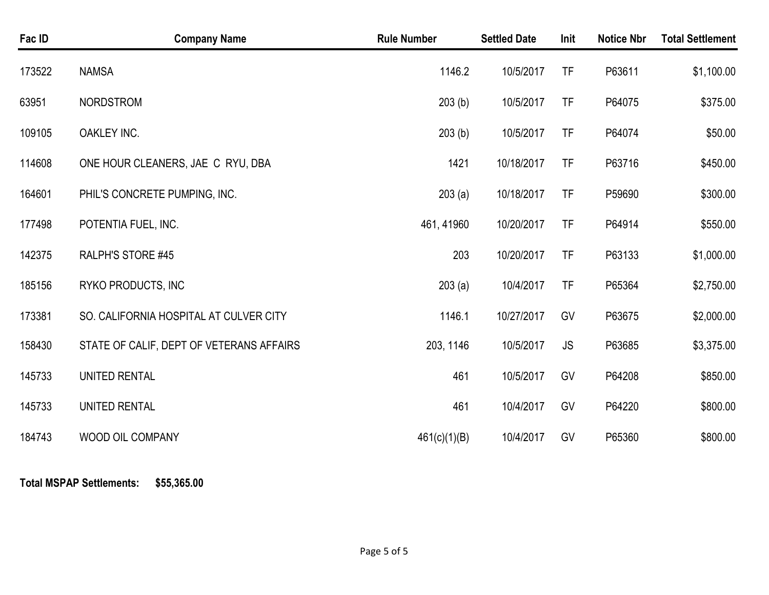| Fac ID | <b>Company Name</b>                      | <b>Rule Number</b> | <b>Settled Date</b> | Init      | <b>Notice Nbr</b> | <b>Total Settlement</b> |
|--------|------------------------------------------|--------------------|---------------------|-----------|-------------------|-------------------------|
| 173522 | <b>NAMSA</b>                             | 1146.2             | 10/5/2017           | <b>TF</b> | P63611            | \$1,100.00              |
| 63951  | <b>NORDSTROM</b>                         | 203(b)             | 10/5/2017           | <b>TF</b> | P64075            | \$375.00                |
| 109105 | OAKLEY INC.                              | 203(b)             | 10/5/2017           | TF        | P64074            | \$50.00                 |
| 114608 | ONE HOUR CLEANERS, JAE C RYU, DBA        | 1421               | 10/18/2017          | <b>TF</b> | P63716            | \$450.00                |
| 164601 | PHIL'S CONCRETE PUMPING, INC.            | 203(a)             | 10/18/2017          | <b>TF</b> | P59690            | \$300.00                |
| 177498 | POTENTIA FUEL, INC.                      | 461, 41960         | 10/20/2017          | TF        | P64914            | \$550.00                |
| 142375 | RALPH'S STORE #45                        | 203                | 10/20/2017          | <b>TF</b> | P63133            | \$1,000.00              |
| 185156 | RYKO PRODUCTS, INC                       | 203(a)             | 10/4/2017           | TF        | P65364            | \$2,750.00              |
| 173381 | SO. CALIFORNIA HOSPITAL AT CULVER CITY   | 1146.1             | 10/27/2017          | GV        | P63675            | \$2,000.00              |
| 158430 | STATE OF CALIF, DEPT OF VETERANS AFFAIRS | 203, 1146          | 10/5/2017           | <b>JS</b> | P63685            | \$3,375.00              |
| 145733 | UNITED RENTAL                            | 461                | 10/5/2017           | GV        | P64208            | \$850.00                |
| 145733 | UNITED RENTAL                            | 461                | 10/4/2017           | GV        | P64220            | \$800.00                |
| 184743 | WOOD OIL COMPANY                         | 461(c)(1)(B)       | 10/4/2017           | GV        | P65360            | \$800.00                |

**Total MSPAP Settlements: \$55,365.00**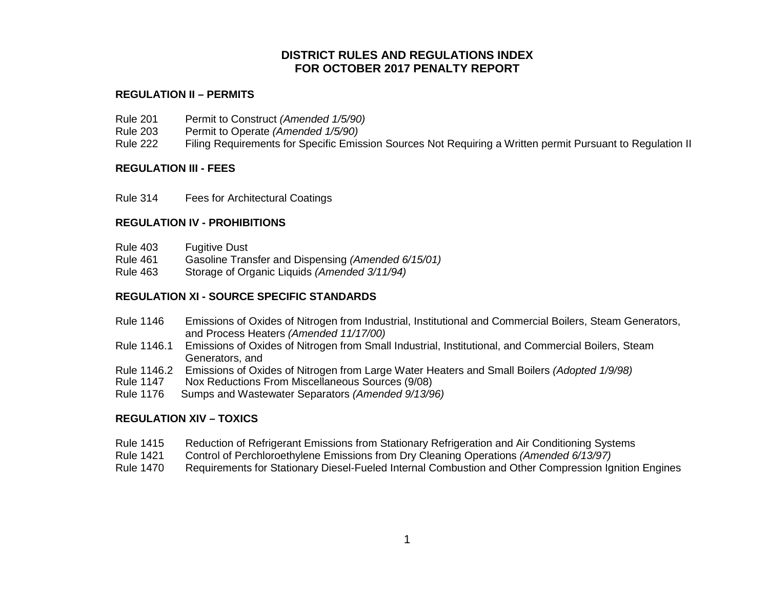## **DISTRICT RULES AND REGULATIONS INDEX FOR OCTOBER 2017 PENALTY REPORT**

#### **REGULATION II – PERMITS**

- Rule 201 Permit to Construct *(Amended 1/5/90)*
- Rule 203 Permit to Operate *(Amended 1/5/90)*
- Rule 222 Filing Requirements for Specific Emission Sources Not Requiring a Written permit Pursuant to Regulation II

#### **REGULATION III - FEES**

Rule 314 Fees for Architectural Coatings

#### **REGULATION IV - PROHIBITIONS**

- Rule 403 Fugitive Dust
- Rule 461 Gasoline Transfer and Dispensing *(Amended 6/15/01)*
- Rule 463 Storage of Organic Liquids *(Amended 3/11/94)*

#### **REGULATION XI - SOURCE SPECIFIC STANDARDS**

- Rule 1146 Emissions of Oxides of Nitrogen from Industrial, Institutional and Commercial Boilers, Steam Generators, and Process Heaters *(Amended 11/17/00)*
- Rule 1146.1 Emissions of Oxides of Nitrogen from Small Industrial, Institutional, and Commercial Boilers, Steam Generators, and
- Rule 1146.2 Emissions of Oxides of Nitrogen from Large Water Heaters and Small Boilers *(Adopted 1/9/98)*
- Rule 1147 Nox Reductions From Miscellaneous Sources (9/08)
- Rule 1176 Sumps and Wastewater Separators *(Amended 9/13/96)*

#### **REGULATION XIV – TOXICS**

- Rule 1415 Reduction of Refrigerant Emissions from Stationary Refrigeration and Air Conditioning Systems
- Rule 1421 Control of Perchloroethylene Emissions from Dry Cleaning Operations *(Amended 6/13/97)*
- Rule 1470 Requirements for Stationary Diesel-Fueled Internal Combustion and Other Compression Ignition Engines